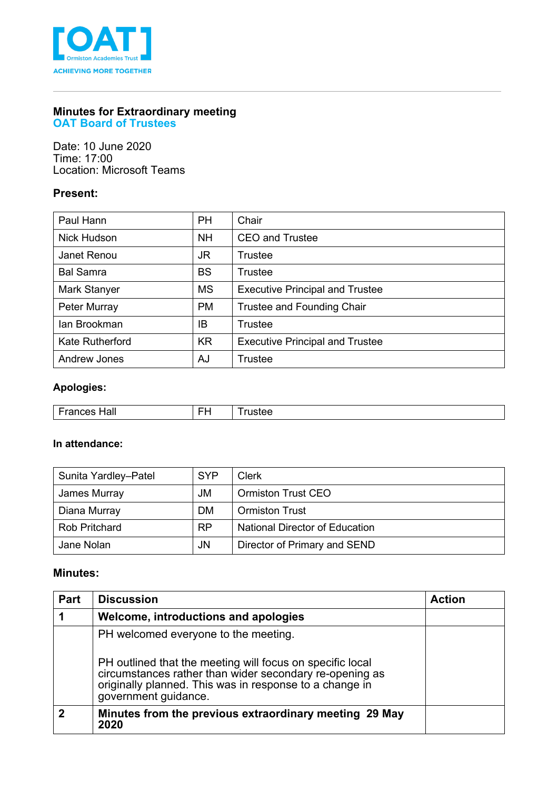

# **Minutes for Extraordinary meeting**

**OAT Board of Trustees**

Date: 10 June 2020 Time: 17:00 Location: Microsoft Teams

### **Present:**

| Paul Hann              | <b>PH</b> | Chair                                  |
|------------------------|-----------|----------------------------------------|
| Nick Hudson            | <b>NH</b> | <b>CEO and Trustee</b>                 |
| Janet Renou            | JR.       | Trustee                                |
| <b>Bal Samra</b>       | <b>BS</b> | Trustee                                |
| Mark Stanyer           | <b>MS</b> | <b>Executive Principal and Trustee</b> |
| Peter Murray           | <b>PM</b> | <b>Trustee and Founding Chair</b>      |
| lan Brookman           | IB        | <b>Trustee</b>                         |
| <b>Kate Rutherford</b> | <b>KR</b> | <b>Executive Principal and Trustee</b> |
| <b>Andrew Jones</b>    | AJ        | <b>Trustee</b>                         |

### **Apologies:**

| וומ⊢<br>.<br>юш | - | -- |
|-----------------|---|----|

#### **In attendance:**

| Sunita Yardley-Patel | <b>SYP</b>     | Clerk                                 |
|----------------------|----------------|---------------------------------------|
| James Murray         | JM             | <b>Ormiston Trust CEO</b>             |
| Diana Murray         | <b>DM</b>      | <b>Ormiston Trust</b>                 |
| <b>Rob Pritchard</b> | R <sub>P</sub> | <b>National Director of Education</b> |
| Jane Nolan           | JN             | Director of Primary and SEND          |

## **Minutes:**

| Part | <b>Discussion</b>                                                                                                                                                                                       | <b>Action</b> |
|------|---------------------------------------------------------------------------------------------------------------------------------------------------------------------------------------------------------|---------------|
|      | Welcome, introductions and apologies                                                                                                                                                                    |               |
|      | PH welcomed everyone to the meeting.                                                                                                                                                                    |               |
|      | PH outlined that the meeting will focus on specific local<br>circumstances rather than wider secondary re-opening as<br>originally planned. This was in response to a change in<br>government guidance. |               |
| 2    | Minutes from the previous extraordinary meeting 29 May<br>2020                                                                                                                                          |               |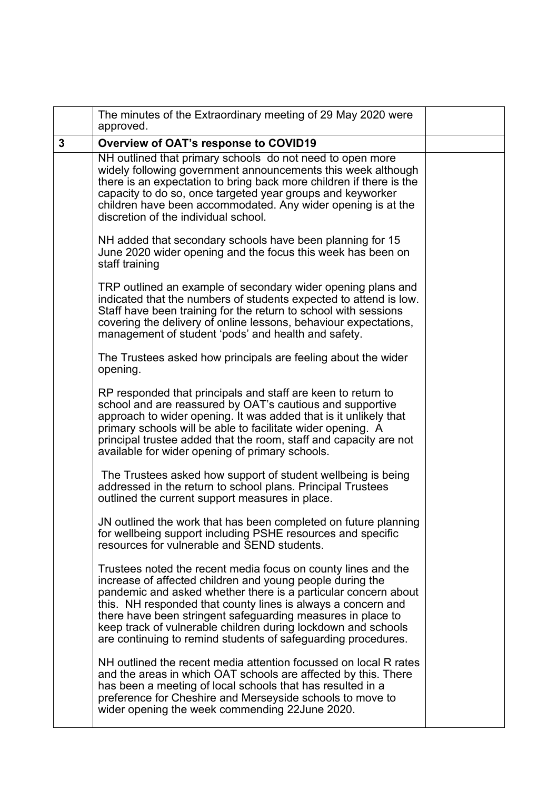|   | The minutes of the Extraordinary meeting of 29 May 2020 were<br>approved.                                                                                                                                                                                                                                                                                                                                                                                     |  |
|---|---------------------------------------------------------------------------------------------------------------------------------------------------------------------------------------------------------------------------------------------------------------------------------------------------------------------------------------------------------------------------------------------------------------------------------------------------------------|--|
| 3 | <b>Overview of OAT's response to COVID19</b>                                                                                                                                                                                                                                                                                                                                                                                                                  |  |
|   | NH outlined that primary schools do not need to open more<br>widely following government announcements this week although<br>there is an expectation to bring back more children if there is the<br>capacity to do so, once targeted year groups and keyworker<br>children have been accommodated. Any wider opening is at the<br>discretion of the individual school.                                                                                        |  |
|   | NH added that secondary schools have been planning for 15<br>June 2020 wider opening and the focus this week has been on<br>staff training                                                                                                                                                                                                                                                                                                                    |  |
|   | TRP outlined an example of secondary wider opening plans and<br>indicated that the numbers of students expected to attend is low.<br>Staff have been training for the return to school with sessions<br>covering the delivery of online lessons, behaviour expectations,<br>management of student 'pods' and health and safety.                                                                                                                               |  |
|   | The Trustees asked how principals are feeling about the wider<br>opening.                                                                                                                                                                                                                                                                                                                                                                                     |  |
|   | RP responded that principals and staff are keen to return to<br>school and are reassured by OAT's cautious and supportive<br>approach to wider opening. It was added that is it unlikely that<br>primary schools will be able to facilitate wider opening. A<br>principal trustee added that the room, staff and capacity are not<br>available for wider opening of primary schools.                                                                          |  |
|   | The Trustees asked how support of student wellbeing is being<br>addressed in the return to school plans. Principal Trustees<br>outlined the current support measures in place.                                                                                                                                                                                                                                                                                |  |
|   | JN outlined the work that has been completed on future planning<br>for wellbeing support including PSHE resources and specific<br>resources for vulnerable and SEND students.                                                                                                                                                                                                                                                                                 |  |
|   | Trustees noted the recent media focus on county lines and the<br>increase of affected children and young people during the<br>pandemic and asked whether there is a particular concern about<br>this. NH responded that county lines is always a concern and<br>there have been stringent safeguarding measures in place to<br>keep track of vulnerable children during lockdown and schools<br>are continuing to remind students of safeguarding procedures. |  |
|   | NH outlined the recent media attention focussed on local R rates<br>and the areas in which OAT schools are affected by this. There<br>has been a meeting of local schools that has resulted in a<br>preference for Cheshire and Merseyside schools to move to<br>wider opening the week commending 22 June 2020.                                                                                                                                              |  |